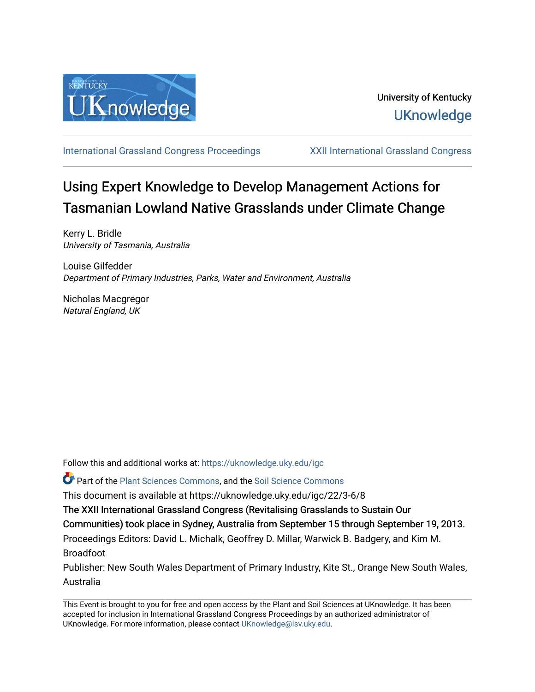

[International Grassland Congress Proceedings](https://uknowledge.uky.edu/igc) [XXII International Grassland Congress](https://uknowledge.uky.edu/igc/22) 

# Using Expert Knowledge to Develop Management Actions for Tasmanian Lowland Native Grasslands under Climate Change

Kerry L. Bridle University of Tasmania, Australia

Louise Gilfedder Department of Primary Industries, Parks, Water and Environment, Australia

Nicholas Macgregor Natural England, UK

Follow this and additional works at: [https://uknowledge.uky.edu/igc](https://uknowledge.uky.edu/igc?utm_source=uknowledge.uky.edu%2Figc%2F22%2F3-6%2F8&utm_medium=PDF&utm_campaign=PDFCoverPages) 

Part of the [Plant Sciences Commons](http://network.bepress.com/hgg/discipline/102?utm_source=uknowledge.uky.edu%2Figc%2F22%2F3-6%2F8&utm_medium=PDF&utm_campaign=PDFCoverPages), and the [Soil Science Commons](http://network.bepress.com/hgg/discipline/163?utm_source=uknowledge.uky.edu%2Figc%2F22%2F3-6%2F8&utm_medium=PDF&utm_campaign=PDFCoverPages) 

This document is available at https://uknowledge.uky.edu/igc/22/3-6/8

The XXII International Grassland Congress (Revitalising Grasslands to Sustain Our

Communities) took place in Sydney, Australia from September 15 through September 19, 2013.

Proceedings Editors: David L. Michalk, Geoffrey D. Millar, Warwick B. Badgery, and Kim M. Broadfoot

Publisher: New South Wales Department of Primary Industry, Kite St., Orange New South Wales, Australia

This Event is brought to you for free and open access by the Plant and Soil Sciences at UKnowledge. It has been accepted for inclusion in International Grassland Congress Proceedings by an authorized administrator of UKnowledge. For more information, please contact [UKnowledge@lsv.uky.edu](mailto:UKnowledge@lsv.uky.edu).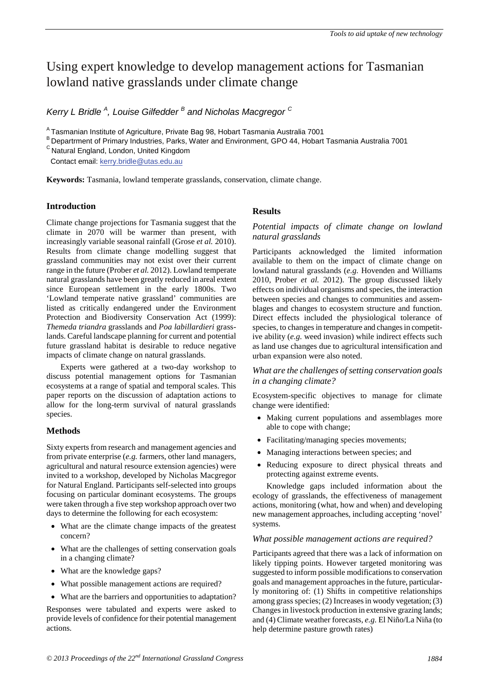# Using expert knowledge to develop management actions for Tasmanian lowland native grasslands under climate change

*Kerry L Bridle <sup>A</sup> , Louise Gilfedder <sup>B</sup> and Nicholas Macgregor <sup>C</sup>*

A Tasmanian Institute of Agriculture, Private Bag 98, Hobart Tasmania Australia 7001

B Departrment of Primary Industries, Parks, Water and Environment, GPO 44, Hobart Tasmania Australia 7001

 $\textsuperscript{c}$  Natural England, London, United Kingdom

Contact email: kerry.bridle@utas.edu.au

**Keywords:** Tasmania, lowland temperate grasslands, conservation, climate change.

# **Introduction**

Climate change projections for Tasmania suggest that the climate in 2070 will be warmer than present, with increasingly variable seasonal rainfall (Grose *et al.* 2010). Results from climate change modelling suggest that grassland communities may not exist over their current range in the future (Prober *et al.* 2012). Lowland temperate natural grasslands have been greatly reduced in areal extent since European settlement in the early 1800s. Two 'Lowland temperate native grassland' communities are listed as critically endangered under the Environment Protection and Biodiversity Conservation Act (1999): *Themeda triandra* grasslands and *Poa labillardieri* grasslands. Careful landscape planning for current and potential future grassland habitat is desirable to reduce negative impacts of climate change on natural grasslands.

Experts were gathered at a two-day workshop to discuss potential management options for Tasmanian ecosystems at a range of spatial and temporal scales. This paper reports on the discussion of adaptation actions to allow for the long-term survival of natural grasslands species.

# **Methods**

Sixty experts from research and management agencies and from private enterprise (*e.g.* farmers, other land managers, agricultural and natural resource extension agencies) were invited to a workshop, developed by Nicholas Macgregor for Natural England. Participants self-selected into groups focusing on particular dominant ecosystems. The groups were taken through a five step workshop approach over two days to determine the following for each ecosystem:

- What are the climate change impacts of the greatest concern?
- What are the challenges of setting conservation goals in a changing climate?
- What are the knowledge gaps?
- What possible management actions are required?
- What are the barriers and opportunities to adaptation?

Responses were tabulated and experts were asked to provide levels of confidence for their potential management actions.

## **Results**

*Potential impacts of climate change on lowland natural grasslands* 

Participants acknowledged the limited information available to them on the impact of climate change on lowland natural grasslands (*e.g.* Hovenden and Williams 2010, Prober *et al.* 2012). The group discussed likely effects on individual organisms and species, the interaction between species and changes to communities and assemblages and changes to ecosystem structure and function. Direct effects included the physiological tolerance of species, to changes in temperature and changes in competitive ability (*e.g.* weed invasion) while indirect effects such as land use changes due to agricultural intensification and urban expansion were also noted.

## *What are the challenges of setting conservation goals in a changing climate?*

Ecosystem-specific objectives to manage for climate change were identified:

- Making current populations and assemblages more able to cope with change;
- Facilitating/managing species movements;
- Managing interactions between species; and
- Reducing exposure to direct physical threats and protecting against extreme events.

Knowledge gaps included information about the ecology of grasslands, the effectiveness of management actions, monitoring (what, how and when) and developing new management approaches, including accepting 'novel' systems.

## *What possible management actions are required?*

Participants agreed that there was a lack of information on likely tipping points. However targeted monitoring was suggested to inform possible modifications to conservation goals and management approaches in the future, particularly monitoring of: (1) Shifts in competitive relationships among grass species; (2) Increases in woody vegetation; (3) Changes in livestock production in extensive grazing lands; and (4) Climate weather forecasts, *e.g.* El Niño/La Niña (to help determine pasture growth rates)